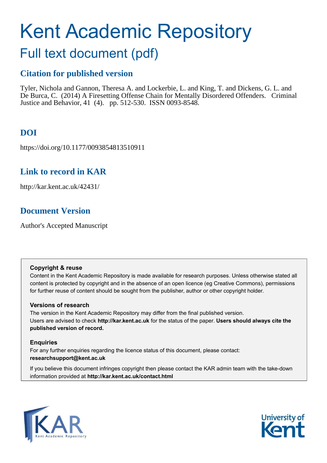# Kent Academic Repository

## Full text document (pdf)

## **Citation for published version**

Tyler, Nichola and Gannon, Theresa A. and Lockerbie, L. and King, T. and Dickens, G. L. and De Burca, C. (2014) A Firesetting Offense Chain for Mentally Disordered Offenders. Criminal Justice and Behavior, 41 (4). pp. 512-530. ISSN 0093-8548.

## **DOI**

https://doi.org/10.1177/0093854813510911

## **Link to record in KAR**

http://kar.kent.ac.uk/42431/

## **Document Version**

Author's Accepted Manuscript

#### **Copyright & reuse**

Content in the Kent Academic Repository is made available for research purposes. Unless otherwise stated all content is protected by copyright and in the absence of an open licence (eg Creative Commons), permissions for further reuse of content should be sought from the publisher, author or other copyright holder.

#### **Versions of research**

The version in the Kent Academic Repository may differ from the final published version. Users are advised to check **http://kar.kent.ac.uk** for the status of the paper. **Users should always cite the published version of record.**

#### **Enquiries**

For any further enquiries regarding the licence status of this document, please contact: **researchsupport@kent.ac.uk**

If you believe this document infringes copyright then please contact the KAR admin team with the take-down information provided at **http://kar.kent.ac.uk/contact.html**



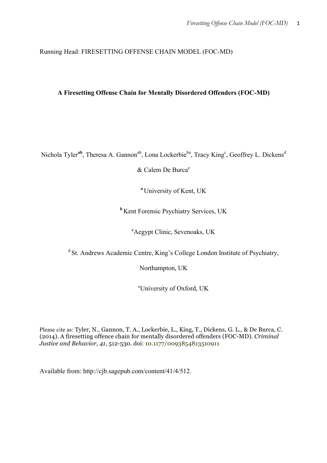Running Head: FIRESETTING OFFENSE CHAIN MODEL (FOC-MD)

**A Firesetting Offense Chain for Mentally Disordered Offenders (FOC-MD)**

Nichola Tyler<sup>ab</sup>, Theresa A. Gannon<sup>ab</sup>, Lona Lockerbie<sup>ba</sup>, Tracy King<sup>c</sup>, Geoffrey L. Dickens<sup>d</sup>

 $&$  Calem De Burca $^e$ 

<sup>a</sup> University of Kent, UK

**b** Kent Forensic Psychiatry Services, UK

**<sup>c</sup>**Aegypt Clinic, Sevenoaks, UK

<sup>d</sup> St. Andrews Academic Centre, King's College London Institute of Psychiatry,

Northampton, UK

<sup>e</sup>University of Oxford, UK

Please cite as: Tyler, N.*,* Gannon, T. A., Lockerbie, L., King, T., Dickens, G. L., & De Burca, C. (2014). A firesetting offence chain for mentally disordered offenders (FOC-MD). *Criminal Justice and Behavior, 41,* 512-530. doi: 10.1177/0093854813510911

Available from: http://cjb.sagepub.com/content/41/4/512.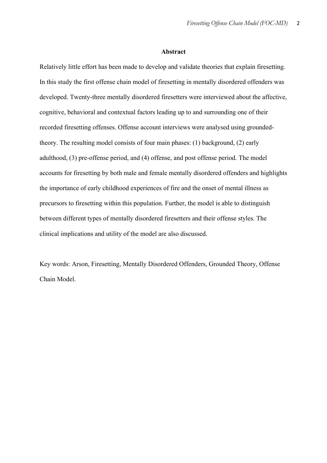#### **Abstract**

Relatively little effort has been made to develop and validate theories that explain firesetting. In this study the first offense chain model of firesetting in mentally disordered offenders was developed. Twenty-three mentally disordered firesetters were interviewed about the affective, cognitive, behavioral and contextual factors leading up to and surrounding one of their recorded firesetting offenses. Offense account interviews were analysed using groundedtheory. The resulting model consists of four main phases: (1) background, (2) early adulthood, (3) pre-offense period, and (4) offense, and post offense period. The model accounts for firesetting by both male and female mentally disordered offenders and highlights the importance of early childhood experiences of fire and the onset of mental illness as precursors to firesetting within this population. Further, the model is able to distinguish between different types of mentally disordered firesetters and their offense styles. The clinical implications and utility of the model are also discussed.

Key words: Arson, Firesetting, Mentally Disordered Offenders, Grounded Theory, Offense Chain Model.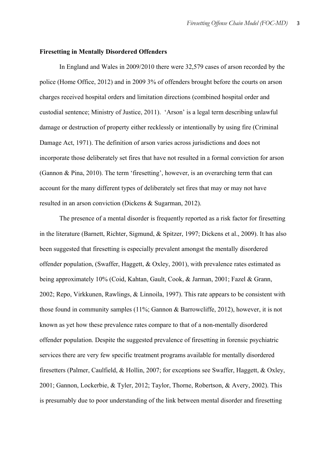#### **Firesetting in Mentally Disordered Offenders**

In England and Wales in 2009/2010 there were 32,579 cases of arson recorded by the police (Home Office, 2012) and in 2009 3% of offenders brought before the courts on arson charges received hospital orders and limitation directions (combined hospital order and custodial sentence; Ministry of Justice, 2011). 'Arson' is a legal term describing unlawful damage or destruction of property either recklessly or intentionally by using fire (Criminal Damage Act, 1971). The definition of arson varies across jurisdictions and does not incorporate those deliberately set fires that have not resulted in a formal conviction for arson (Gannon & Pina, 2010). The term 'firesetting', however, is an overarching term that can account for the many different types of deliberately set fires that may or may not have resulted in an arson conviction (Dickens & Sugarman, 2012).

The presence of a mental disorder is frequently reported as a risk factor for firesetting in the literature (Barnett, Richter, Sigmund, & Spitzer, 1997; Dickens et al., 2009). It has also been suggested that firesetting is especially prevalent amongst the mentally disordered offender population, (Swaffer, Haggett, & Oxley, 2001), with prevalence rates estimated as being approximately 10% (Coid, Kahtan, Gault, Cook, & Jarman, 2001; Fazel & Grann, 2002; Repo, Virkkunen, Rawlings, & Linnoila, 1997). This rate appears to be consistent with those found in community samples (11%; Gannon & Barrowcliffe, 2012), however, it is not known as yet how these prevalence rates compare to that of a non-mentally disordered offender population. Despite the suggested prevalence of firesetting in forensic psychiatric services there are very few specific treatment programs available for mentally disordered firesetters (Palmer, Caulfield, & Hollin, 2007; for exceptions see Swaffer, Haggett, & Oxley, 2001; Gannon, Lockerbie, & Tyler, 2012; Taylor, Thorne, Robertson, & Avery, 2002). This is presumably due to poor understanding of the link between mental disorder and firesetting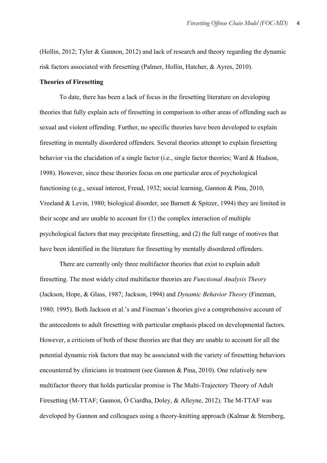(Hollin, 2012; Tyler & Gannon, 2012) and lack of research and theory regarding the dynamic risk factors associated with firesetting (Palmer, Hollin, Hatcher, & Ayres, 2010).

#### **Theories of Firesetting**

To date, there has been a lack of focus in the firesetting literature on developing theories that fully explain acts of firesetting in comparison to other areas of offending such as sexual and violent offending. Further, no specific theories have been developed to explain firesetting in mentally disordered offenders. Several theories attempt to explain firesetting behavior via the elucidation of a single factor (i.e., single factor theories; Ward & Hudson, 1998). However, since these theories focus on one particular area of psychological functioning (e.g., sexual interest, Freud, 1932; social learning, Gannon & Pina, 2010, Vreeland & Levin, 1980; biological disorder, see Barnett & Spitzer, 1994) they are limited in their scope and are unable to account for (1) the complex interaction of multiple psychological factors that may precipitate firesetting, and (2) the full range of motives that have been identified in the literature for firesetting by mentally disordered offenders.

There are currently only three multifactor theories that exist to explain adult firesetting. The most widely cited multifactor theories are *Functional Analysis Theory*  (Jackson, Hope, & Glass, 1987; Jackson, 1994) and *Dynamic Behavior Theory* (Fineman, 1980; 1995). Both Jackson et al.'s and Fineman's theories give a comprehensive account of the antecedents to adult firesetting with particular emphasis placed on developmental factors. However, a criticism of both of these theories are that they are unable to account for all the potential dynamic risk factors that may be associated with the variety of firesetting behaviors encountered by clinicians in treatment (see Gannon & Pina, 2010). One relatively new multifactor theory that holds particular promise is The Multi-Trajectory Theory of Adult Firesetting (M-TTAF; Gannon, Ó Ciardha, Doley, & Alleyne, 2012). The M-TTAF was developed by Gannon and colleagues using a theory-knitting approach (Kalmar & Sternberg,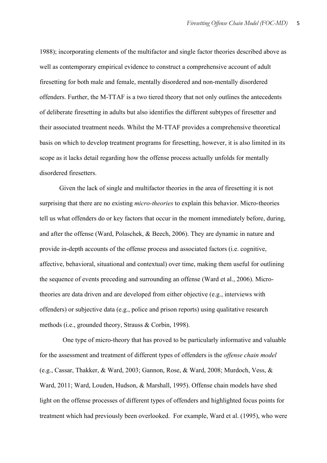1988); incorporating elements of the multifactor and single factor theories described above as well as contemporary empirical evidence to construct a comprehensive account of adult firesetting for both male and female, mentally disordered and non-mentally disordered offenders. Further, the M-TTAF is a two tiered theory that not only outlines the antecedents of deliberate firesetting in adults but also identifies the different subtypes of firesetter and their associated treatment needs. Whilst the M-TTAF provides a comprehensive theoretical basis on which to develop treatment programs for firesetting, however, it is also limited in its scope as it lacks detail regarding how the offense process actually unfolds for mentally disordered firesetters.

Given the lack of single and multifactor theories in the area of firesetting it is not surprising that there are no existing *micro-theories* to explain this behavior. Micro-theories tell us what offenders do or key factors that occur in the moment immediately before, during, and after the offense (Ward, Polaschek, & Beech, 2006). They are dynamic in nature and provide in-depth accounts of the offense process and associated factors (i.e. cognitive, affective, behavioral, situational and contextual) over time, making them useful for outlining the sequence of events preceding and surrounding an offense (Ward et al., 2006). Microtheories are data driven and are developed from either objective (e.g., interviews with offenders) or subjective data (e.g., police and prison reports) using qualitative research methods (i.e., grounded theory, Strauss & Corbin, 1998).

One type of micro-theory that has proved to be particularly informative and valuable for the assessment and treatment of different types of offenders is the *offense chain model* (e.g., Cassar, Thakker, & Ward, 2003; Gannon, Rose, & Ward, 2008; Murdoch, Vess, & Ward, 2011; Ward, Louden, Hudson, & Marshall, 1995). Offense chain models have shed light on the offense processes of different types of offenders and highlighted focus points for treatment which had previously been overlooked. For example, Ward et al. (1995), who were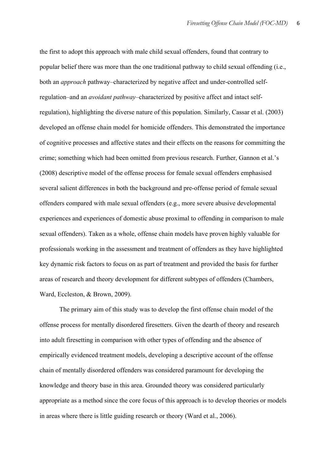the first to adopt this approach with male child sexual offenders, found that contrary to popular belief there was more than the one traditional pathway to child sexual offending (i.e., both an *approach* pathway–characterized by negative affect and under-controlled selfregulation–and an *avoidant pathway*–characterized by positive affect and intact selfregulation), highlighting the diverse nature of this population. Similarly, Cassar et al. (2003) developed an offense chain model for homicide offenders. This demonstrated the importance of cognitive processes and affective states and their effects on the reasons for committing the crime; something which had been omitted from previous research. Further, Gannon et al.'s (2008) descriptive model of the offense process for female sexual offenders emphasised several salient differences in both the background and pre-offense period of female sexual offenders compared with male sexual offenders (e.g., more severe abusive developmental experiences and experiences of domestic abuse proximal to offending in comparison to male sexual offenders). Taken as a whole, offense chain models have proven highly valuable for professionals working in the assessment and treatment of offenders as they have highlighted key dynamic risk factors to focus on as part of treatment and provided the basis for further areas of research and theory development for different subtypes of offenders (Chambers, Ward, Eccleston, & Brown, 2009).

The primary aim of this study was to develop the first offense chain model of the offense process for mentally disordered firesetters. Given the dearth of theory and research into adult firesetting in comparison with other types of offending and the absence of empirically evidenced treatment models, developing a descriptive account of the offense chain of mentally disordered offenders was considered paramount for developing the knowledge and theory base in this area. Grounded theory was considered particularly appropriate as a method since the core focus of this approach is to develop theories or models in areas where there is little guiding research or theory (Ward et al., 2006).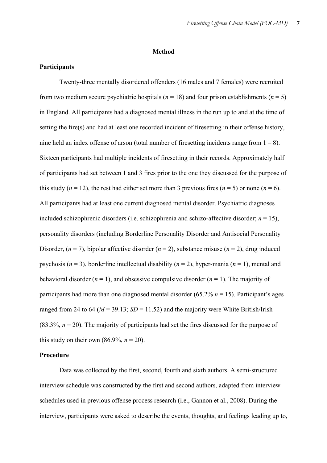#### **Method**

#### **Participants**

Twenty-three mentally disordered offenders (16 males and 7 females) were recruited from two medium secure psychiatric hospitals ( $n = 18$ ) and four prison establishments ( $n = 5$ ) in England. All participants had a diagnosed mental illness in the run up to and at the time of setting the fire(s) and had at least one recorded incident of firesetting in their offense history, nine held an index offense of arson (total number of firesetting incidents range from  $1 - 8$ ). Sixteen participants had multiple incidents of firesetting in their records. Approximately half of participants had set between 1 and 3 fires prior to the one they discussed for the purpose of this study ( $n = 12$ ), the rest had either set more than 3 previous fires ( $n = 5$ ) or none ( $n = 6$ ). All participants had at least one current diagnosed mental disorder. Psychiatric diagnoses included schizophrenic disorders (i.e. schizophrenia and schizo-affective disorder; *n* = 15), personality disorders (including Borderline Personality Disorder and Antisocial Personality Disorder,  $(n = 7)$ , bipolar affective disorder  $(n = 2)$ , substance misuse  $(n = 2)$ , drug induced psychosis ( $n = 3$ ), borderline intellectual disability ( $n = 2$ ), hyper-mania ( $n = 1$ ), mental and behavioral disorder  $(n = 1)$ , and obsessive compulsive disorder  $(n = 1)$ . The majority of participants had more than one diagnosed mental disorder (65.2% *n* = 15). Participant's ages ranged from 24 to 64 ( $M = 39.13$ ;  $SD = 11.52$ ) and the majority were White British/Irish  $(83.3\%, n = 20)$ . The majority of participants had set the fires discussed for the purpose of this study on their own  $(86.9\%, n = 20)$ .

#### **Procedure**

Data was collected by the first, second, fourth and sixth authors. A semi-structured interview schedule was constructed by the first and second authors, adapted from interview schedules used in previous offense process research (i.e., Gannon et al., 2008). During the interview, participants were asked to describe the events, thoughts, and feelings leading up to,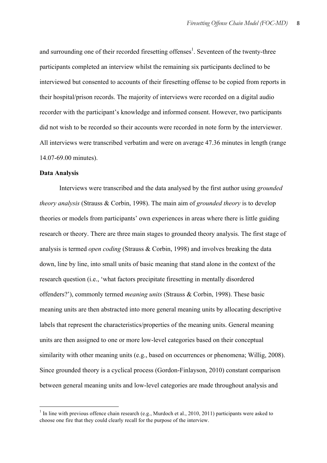and surrounding one of their recorded firesetting offenses<sup>1</sup>. Seventeen of the twenty-three participants completed an interview whilst the remaining six participants declined to be interviewed but consented to accounts of their firesetting offense to be copied from reports in their hospital/prison records. The majority of interviews were recorded on a digital audio recorder with the participant's knowledge and informed consent. However, two participants did not wish to be recorded so their accounts were recorded in note form by the interviewer. All interviews were transcribed verbatim and were on average 47.36 minutes in length (range 14.07-69.00 minutes).

#### **Data Analysis**

<u> 1989 - Johann Barn, mars ann an t-Aonaich an t-Aonaich an t-Aonaich an t-Aonaich ann an t-Aonaich ann an t-Ao</u>

Interviews were transcribed and the data analysed by the first author using *grounded theory analysis* (Strauss & Corbin, 1998). The main aim of *grounded theory* is to develop theories or models from participants' own experiences in areas where there is little guiding research or theory. There are three main stages to grounded theory analysis. The first stage of analysis is termed *open coding* (Strauss & Corbin, 1998) and involves breaking the data down, line by line, into small units of basic meaning that stand alone in the context of the research question (i.e., 'what factors precipitate firesetting in mentally disordered offenders?'), commonly termed *meaning units* (Strauss & Corbin, 1998). These basic meaning units are then abstracted into more general meaning units by allocating descriptive labels that represent the characteristics/properties of the meaning units. General meaning units are then assigned to one or more low-level categories based on their conceptual similarity with other meaning units (e.g., based on occurrences or phenomena; Willig, 2008). Since grounded theory is a cyclical process (Gordon-Finlayson, 2010) constant comparison between general meaning units and low-level categories are made throughout analysis and

<sup>&</sup>lt;sup>1</sup> In line with previous offence chain research (e.g., Murdoch et al., 2010, 2011) participants were asked to choose one fire that they could clearly recall for the purpose of the interview.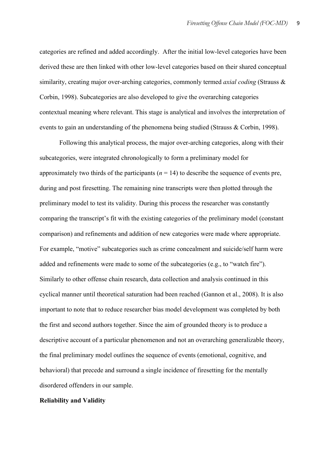categories are refined and added accordingly. After the initial low-level categories have been derived these are then linked with other low-level categories based on their shared conceptual similarity, creating major over-arching categories, commonly termed *axial coding* (Strauss & Corbin, 1998). Subcategories are also developed to give the overarching categories contextual meaning where relevant. This stage is analytical and involves the interpretation of events to gain an understanding of the phenomena being studied (Strauss & Corbin, 1998).

Following this analytical process, the major over-arching categories, along with their subcategories, were integrated chronologically to form a preliminary model for approximately two thirds of the participants  $(n = 14)$  to describe the sequence of events pre, during and post firesetting. The remaining nine transcripts were then plotted through the preliminary model to test its validity. During this process the researcher was constantly comparing the transcript's fit with the existing categories of the preliminary model (constant comparison) and refinements and addition of new categories were made where appropriate. For example, "motive" subcategories such as crime concealment and suicide/self harm were added and refinements were made to some of the subcategories (e.g., to "watch fire"). Similarly to other offense chain research, data collection and analysis continued in this cyclical manner until theoretical saturation had been reached (Gannon et al., 2008). It is also important to note that to reduce researcher bias model development was completed by both the first and second authors together. Since the aim of grounded theory is to produce a descriptive account of a particular phenomenon and not an overarching generalizable theory, the final preliminary model outlines the sequence of events (emotional, cognitive, and behavioral) that precede and surround a single incidence of firesetting for the mentally disordered offenders in our sample.

#### **Reliability and Validity**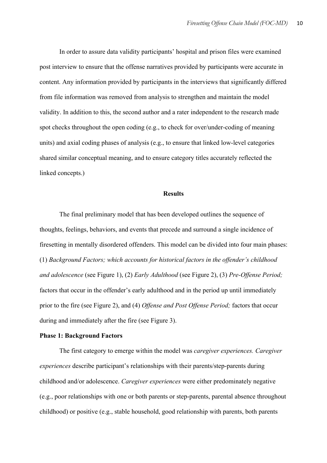In order to assure data validity participants' hospital and prison files were examined post interview to ensure that the offense narratives provided by participants were accurate in content. Any information provided by participants in the interviews that significantly differed from file information was removed from analysis to strengthen and maintain the model validity. In addition to this, the second author and a rater independent to the research made spot checks throughout the open coding (e.g., to check for over/under-coding of meaning units) and axial coding phases of analysis (e.g., to ensure that linked low-level categories shared similar conceptual meaning, and to ensure category titles accurately reflected the linked concepts.)

#### **Results**

The final preliminary model that has been developed outlines the sequence of thoughts, feelings, behaviors, and events that precede and surround a single incidence of firesetting in mentally disordered offenders. This model can be divided into four main phases: (1) *Background Factors; which accounts for historical factors in the offender's childhood and adolescence* (see Figure 1), (2) *Early Adulthood* (see Figure 2), (3) *Pre-Offense Period;*  factors that occur in the offender's early adulthood and in the period up until immediately prior to the fire (see Figure 2), and (4) *Offense and Post Offense Period;* factors that occur during and immediately after the fire (see Figure 3).

#### **Phase 1: Background Factors**

The first category to emerge within the model was *caregiver experiences. Caregiver experiences* describe participant's relationships with their parents/step-parents during childhood and/or adolescence. *Caregiver experiences* were either predominately negative (e.g., poor relationships with one or both parents or step-parents, parental absence throughout childhood) or positive (e.g., stable household, good relationship with parents, both parents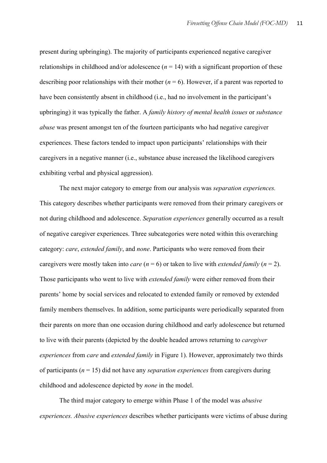present during upbringing). The majority of participants experienced negative caregiver relationships in childhood and/or adolescence  $(n = 14)$  with a significant proportion of these describing poor relationships with their mother  $(n = 6)$ . However, if a parent was reported to have been consistently absent in childhood (i.e., had no involvement in the participant's upbringing) it was typically the father. A *family history of mental health issues* or *substance abuse* was present amongst ten of the fourteen participants who had negative caregiver experiences. These factors tended to impact upon participants' relationships with their caregivers in a negative manner (i.e., substance abuse increased the likelihood caregivers exhibiting verbal and physical aggression).

The next major category to emerge from our analysis was *separation experiences.*  This category describes whether participants were removed from their primary caregivers or not during childhood and adolescence. *Separation experiences* generally occurred as a result of negative caregiver experiences. Three subcategories were noted within this overarching category: *care*, *extended family*, and *none*. Participants who were removed from their caregivers were mostly taken into *care*  $(n = 6)$  or taken to live with *extended family*  $(n = 2)$ . Those participants who went to live with *extended family* were either removed from their parents' home by social services and relocated to extended family or removed by extended family members themselves. In addition, some participants were periodically separated from their parents on more than one occasion during childhood and early adolescence but returned to live with their parents (depicted by the double headed arrows returning to *caregiver experiences* from *care* and *extended family* in Figure 1). However, approximately two thirds of participants (*n* = 15) did not have any *separation experiences* from caregivers during childhood and adolescence depicted by *none* in the model.

The third major category to emerge within Phase 1 of the model was *abusive experiences. Abusive experiences* describes whether participants were victims of abuse during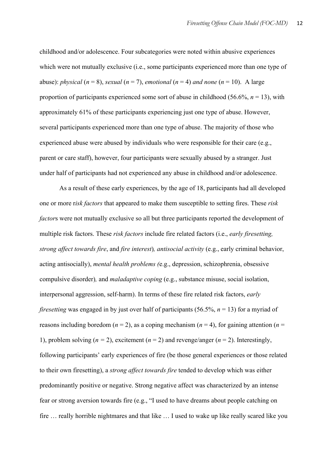childhood and/or adolescence. Four subcategories were noted within abusive experiences which were not mutually exclusive (i.e., some participants experienced more than one type of abuse): *physical*  $(n = 8)$ , *sexual*  $(n = 7)$ , *emotional*  $(n = 4)$  *and none*  $(n = 10)$ . A large proportion of participants experienced some sort of abuse in childhood (56.6%, *n* = 13), with approximately 61% of these participants experiencing just one type of abuse. However, several participants experienced more than one type of abuse. The majority of those who experienced abuse were abused by individuals who were responsible for their care (e.g., parent or care staff), however, four participants were sexually abused by a stranger. Just under half of participants had not experienced any abuse in childhood and/or adolescence.

As a result of these early experiences, by the age of 18, participants had all developed one or more r*isk factors* that appeared to make them susceptible to setting fires. These *risk factor*s were not mutually exclusive so all but three participants reported the development of multiple risk factors. These *risk factors* include fire related factors (i.e., *early firesetting, strong affect towards fire*, and *fire interest*)*, antisocial activity* (e.g., early criminal behavior, acting antisocially), *mental health problems (*e.g., depression, schizophrenia, obsessive compulsive disorder)*,* and *maladaptive coping* (e.g., substance misuse, social isolation, interpersonal aggression, self-harm). In terms of these fire related risk factors, *early firesetting* was engaged in by just over half of participants (56.5%, *n* = 13) for a myriad of reasons including boredom  $(n = 2)$ , as a coping mechanism  $(n = 4)$ , for gaining attention  $(n = 1)$ 1), problem solving  $(n = 2)$ , excitement  $(n = 2)$  and revenge/anger  $(n = 2)$ . Interestingly, following participants' early experiences of fire (be those general experiences or those related to their own firesetting), a *strong affect towards fire* tended to develop which was either predominantly positive or negative. Strong negative affect was characterized by an intense fear or strong aversion towards fire (e.g., "I used to have dreams about people catching on fire … really horrible nightmares and that like … I used to wake up like really scared like you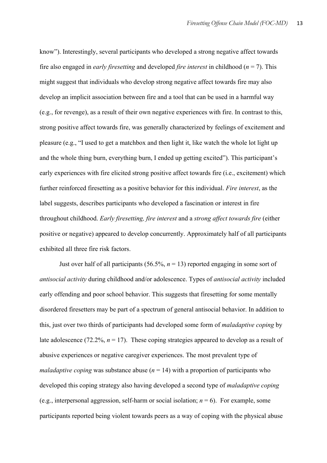know"). Interestingly, several participants who developed a strong negative affect towards fire also engaged in *early firesetting* and developed *fire interest* in childhood (*n* = 7). This might suggest that individuals who develop strong negative affect towards fire may also develop an implicit association between fire and a tool that can be used in a harmful way (e.g., for revenge), as a result of their own negative experiences with fire. In contrast to this, strong positive affect towards fire, was generally characterized by feelings of excitement and pleasure (e.g., "I used to get a matchbox and then light it, like watch the whole lot light up and the whole thing burn, everything burn, I ended up getting excited"). This participant's early experiences with fire elicited strong positive affect towards fire (i.e., excitement) which further reinforced firesetting as a positive behavior for this individual. *Fire interest*, as the label suggests, describes participants who developed a fascination or interest in fire throughout childhood. *Early firesetting, fire interest* and a *strong affect towards fire* (either positive or negative) appeared to develop concurrently. Approximately half of all participants exhibited all three fire risk factors.

Just over half of all participants  $(56.5\%, n = 13)$  reported engaging in some sort of *antisocial activity* during childhood and/or adolescence. Types of *antisocial activity* included early offending and poor school behavior. This suggests that firesetting for some mentally disordered firesetters may be part of a spectrum of general antisocial behavior. In addition to this, just over two thirds of participants had developed some form of *maladaptive coping* by late adolescence (72.2%,  $n = 17$ ). These coping strategies appeared to develop as a result of abusive experiences or negative caregiver experiences. The most prevalent type of *maladaptive coping* was substance abuse  $(n = 14)$  with a proportion of participants who developed this coping strategy also having developed a second type of *maladaptive coping* (e.g., interpersonal aggression, self-harm or social isolation;  $n = 6$ ). For example, some participants reported being violent towards peers as a way of coping with the physical abuse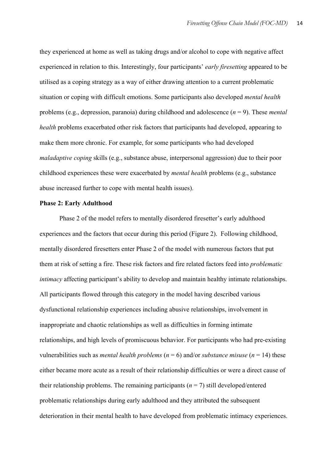they experienced at home as well as taking drugs and/or alcohol to cope with negative affect experienced in relation to this. Interestingly, four participants' *early firesetting* appeared to be utilised as a coping strategy as a way of either drawing attention to a current problematic situation or coping with difficult emotions. Some participants also developed *mental health* problems (e.g., depression, paranoia) during childhood and adolescence (*n* = 9). These *mental health* problems exacerbated other risk factors that participants had developed, appearing to make them more chronic. For example, for some participants who had developed *maladaptive coping* skills (e.g., substance abuse, interpersonal aggression) due to their poor childhood experiences these were exacerbated by *mental health* problems (e.g., substance abuse increased further to cope with mental health issues).

#### **Phase 2: Early Adulthood**

Phase 2 of the model refers to mentally disordered firesetter's early adulthood experiences and the factors that occur during this period (Figure 2). Following childhood, mentally disordered firesetters enter Phase 2 of the model with numerous factors that put them at risk of setting a fire. These risk factors and fire related factors feed into *problematic intimacy* affecting participant's ability to develop and maintain healthy intimate relationships. All participants flowed through this category in the model having described various dysfunctional relationship experiences including abusive relationships, involvement in inappropriate and chaotic relationships as well as difficulties in forming intimate relationships, and high levels of promiscuous behavior. For participants who had pre-existing vulnerabilities such as *mental health problems* ( $n = 6$ ) and/or *substance misuse* ( $n = 14$ ) these either became more acute as a result of their relationship difficulties or were a direct cause of their relationship problems. The remaining participants  $(n = 7)$  still developed/entered problematic relationships during early adulthood and they attributed the subsequent deterioration in their mental health to have developed from problematic intimacy experiences.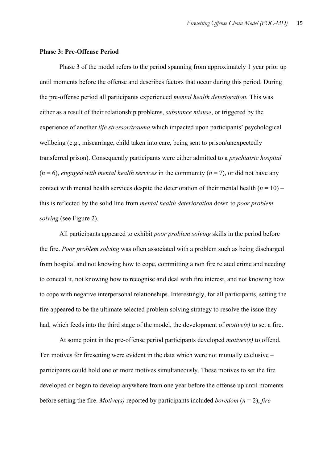#### **Phase 3: Pre-Offense Period**

Phase 3 of the model refers to the period spanning from approximately 1 year prior up until moments before the offense and describes factors that occur during this period. During the pre-offense period all participants experienced *mental health deterioration.* This was either as a result of their relationship problems, *substance misuse*, or triggered by the experience of another *life stressor/trauma* which impacted upon participants' psychological wellbeing (e.g., miscarriage, child taken into care, being sent to prison/unexpectedly transferred prison). Consequently participants were either admitted to a *psychiatric hospital*  $(n=6)$ , *engaged with mental health services* in the community  $(n=7)$ , or did not have any contact with mental health services despite the deterioration of their mental health  $(n = 10)$  – this is reflected by the solid line from *mental health deterioration* down to *poor problem solving* (see Figure 2).

All participants appeared to exhibit *poor problem solving* skills in the period before the fire. *Poor problem solving* was often associated with a problem such as being discharged from hospital and not knowing how to cope, committing a non fire related crime and needing to conceal it, not knowing how to recognise and deal with fire interest, and not knowing how to cope with negative interpersonal relationships. Interestingly, for all participants, setting the fire appeared to be the ultimate selected problem solving strategy to resolve the issue they had, which feeds into the third stage of the model, the development of *motive(s)* to set a fire.

At some point in the pre-offense period participants developed *motives(s)* to offend. Ten motives for firesetting were evident in the data which were not mutually exclusive – participants could hold one or more motives simultaneously. These motives to set the fire developed or began to develop anywhere from one year before the offense up until moments before setting the fire. *Motive(s)* reported by participants included *boredom* (*n* = 2), *fire*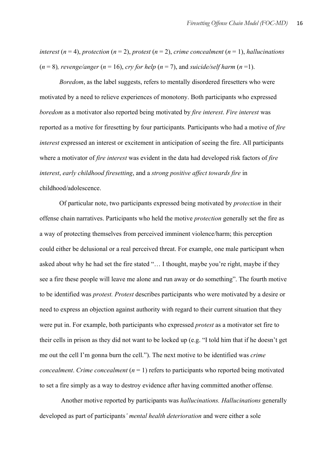*interest* ( $n = 4$ ), *protection* ( $n = 2$ ), *protest* ( $n = 2$ ), *crime concealment* ( $n = 1$ ), *hallucinations*  $(n = 8)$ , *revenge/anger*  $(n = 16)$ , *cry for help*  $(n = 7)$ , and *suicide/self* harm  $(n = 1)$ .

*Boredom*, as the label suggests, refers to mentally disordered firesetters who were motivated by a need to relieve experiences of monotony. Both participants who expressed *boredom* as a motivator also reported being motivated by *fire interest*. *Fire interest* was reported as a motive for firesetting by four participants*.* Participants who had a motive of *fire interest* expressed an interest or excitement in anticipation of seeing the fire. All participants where a motivator of *fire interest* was evident in the data had developed risk factors of *fire interest*, *early childhood firesetting*, and a *strong positive affect towards fire* in childhood/adolescence.

Of particular note, two participants expressed being motivated by *protection* in their offense chain narratives. Participants who held the motive *protection* generally set the fire as a way of protecting themselves from perceived imminent violence/harm; this perception could either be delusional or a real perceived threat. For example, one male participant when asked about why he had set the fire stated "… I thought, maybe you're right, maybe if they see a fire these people will leave me alone and run away or do something". The fourth motive to be identified was *protest. Protest* describes participants who were motivated by a desire or need to express an objection against authority with regard to their current situation that they were put in. For example, both participants who expressed *protest* as a motivator set fire to their cells in prison as they did not want to be locked up (e.g. "I told him that if he doesn't get me out the cell I'm gonna burn the cell."). The next motive to be identified was *crime concealment. Crime concealment*  $(n = 1)$  refers to participants who reported being motivated to set a fire simply as a way to destroy evidence after having committed another offense*.*

Another motive reported by participants was *hallucinations. Hallucinations* generally developed as part of participants*' mental health deterioration* and were either a sole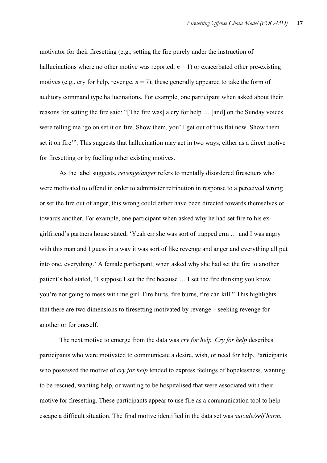motivator for their firesetting (e.g., setting the fire purely under the instruction of hallucinations where no other motive was reported,  $n = 1$ ) or exacerbated other pre-existing motives (e.g., cry for help, revenge,  $n = 7$ ); these generally appeared to take the form of auditory command type hallucinations. For example, one participant when asked about their reasons for setting the fire said: "[The fire was] a cry for help … [and] on the Sunday voices were telling me 'go on set it on fire. Show them, you'll get out of this flat now. Show them set it on fire'". This suggests that hallucination may act in two ways, either as a direct motive for firesetting or by fuelling other existing motives.

As the label suggests, *revenge/anger* refers to mentally disordered firesetters who were motivated to offend in order to administer retribution in response to a perceived wrong or set the fire out of anger; this wrong could either have been directed towards themselves or towards another. For example, one participant when asked why he had set fire to his exgirlfriend's partners house stated, 'Yeah err she was sort of trapped erm … and I was angry with this man and I guess in a way it was sort of like revenge and anger and everything all put into one, everything.' A female participant, when asked why she had set the fire to another patient's bed stated, "I suppose I set the fire because … I set the fire thinking you know you're not going to mess with me girl. Fire hurts, fire burns, fire can kill." This highlights that there are two dimensions to firesetting motivated by revenge – seeking revenge for another or for oneself.

The next motive to emerge from the data was *cry for help. Cry for help* describes participants who were motivated to communicate a desire, wish, or need for help. Participants who possessed the motive of *cry for help* tended to express feelings of hopelessness, wanting to be rescued, wanting help, or wanting to be hospitalised that were associated with their motive for firesetting. These participants appear to use fire as a communication tool to help escape a difficult situation. The final motive identified in the data set was *suicide/self harm.*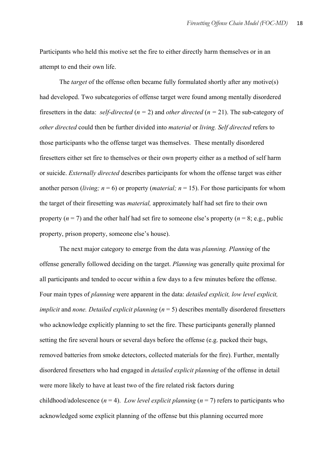Participants who held this motive set the fire to either directly harm themselves or in an attempt to end their own life.

The *target* of the offense often became fully formulated shortly after any motive(s) had developed. Two subcategories of offense target were found among mentally disordered firesetters in the data: *self-directed* (*n =* 2) and *other directed* (*n =* 21). The sub-category of *other directed* could then be further divided into *material* or *living. Self directed* refers to those participants who the offense target was themselves. These mentally disordered firesetters either set fire to themselves or their own property either as a method of self harm or suicide. *Externally directed* describes participants for whom the offense target was either another person (*living; n* = 6) or property (*material; n* = 15). For those participants for whom the target of their firesetting was *material,* approximately half had set fire to their own property  $(n = 7)$  and the other half had set fire to someone else's property  $(n = 8, e.g., public)$ property, prison property, someone else's house).

The next major category to emerge from the data was *planning. Planning* of the offense generally followed deciding on the target. *Planning* was generally quite proximal for all participants and tended to occur within a few days to a few minutes before the offense. Four main types of *planning* were apparent in the data: *detailed explicit, low level explicit, implicit* and *none. Detailed explicit planning* (*n* = 5) describes mentally disordered firesetters who acknowledge explicitly planning to set the fire. These participants generally planned setting the fire several hours or several days before the offense (e.g. packed their bags, removed batteries from smoke detectors, collected materials for the fire). Further, mentally disordered firesetters who had engaged in *detailed explicit planning* of the offense in detail were more likely to have at least two of the fire related risk factors during childhood/adolescence  $(n = 4)$ . *Low level explicit planning*  $(n = 7)$  refers to participants who acknowledged some explicit planning of the offense but this planning occurred more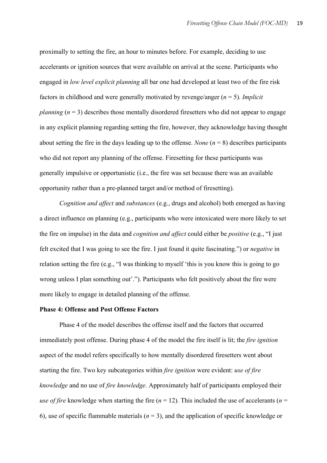proximally to setting the fire, an hour to minutes before. For example, deciding to use accelerants or ignition sources that were available on arrival at the scene. Participants who engaged in *low level explicit planning* all bar one had developed at least two of the fire risk factors in childhood and were generally motivated by revenge/anger (*n* = 5)*. Implicit planning*  $(n = 3)$  describes those mentally disordered firesetters who did not appear to engage in any explicit planning regarding setting the fire, however, they acknowledge having thought about setting the fire in the days leading up to the offense. *None* (*n* = 8) describes participants who did not report any planning of the offense. Firesetting for these participants was generally impulsive or opportunistic (i.e., the fire was set because there was an available opportunity rather than a pre-planned target and/or method of firesetting).

*Cognition and affect* and *substances* (e.g., drugs and alcohol) both emerged as having a direct influence on planning (e.g., participants who were intoxicated were more likely to set the fire on impulse) in the data and *cognition and affect* could either be *positive* (e.g., "I just felt excited that I was going to see the fire. I just found it quite fascinating.") or *negative* in relation setting the fire (e.g., "I was thinking to myself 'this is you know this is going to go wrong unless I plan something out'."). Participants who felt positively about the fire were more likely to engage in detailed planning of the offense.

#### **Phase 4: Offense and Post Offense Factors**

Phase 4 of the model describes the offense itself and the factors that occurred immediately post offense. During phase 4 of the model the fire itself is lit; the *fire ignition*  aspect of the model refers specifically to how mentally disordered firesetters went about starting the fire. Two key subcategories within *fire ignition* were evident: *use of fire knowledge* and no use of *fire knowledge.* Approximately half of participants employed their *use of fire* knowledge when starting the fire  $(n = 12)$ . This included the use of accelerants  $(n = 12)$ 6), use of specific flammable materials (*n* = 3), and the application of specific knowledge or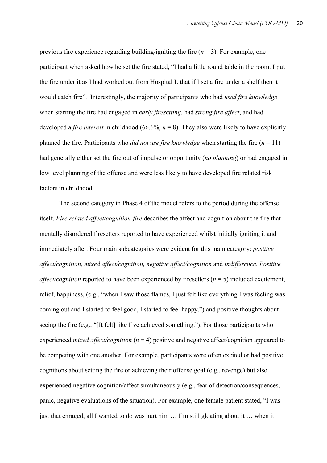previous fire experience regarding building/igniting the fire  $(n = 3)$ . For example, one participant when asked how he set the fire stated, "I had a little round table in the room. I put the fire under it as I had worked out from Hospital L that if I set a fire under a shelf then it would catch fire". Interestingly, the majority of participants who had *used fire knowledge* when starting the fire had engaged in *early firesetting*, had *strong fire affect*, and had developed a *fire interest* in childhood (66.6%,  $n = 8$ ). They also were likely to have explicitly planned the fire. Participants who *did not use fire knowledge* when starting the fire  $(n = 11)$ had generally either set the fire out of impulse or opportunity (*no planning*) or had engaged in low level planning of the offense and were less likely to have developed fire related risk factors in childhood.

The second category in Phase 4 of the model refers to the period during the offense itself. *Fire related affect/cognition-fire* describes the affect and cognition about the fire that mentally disordered firesetters reported to have experienced whilst initially igniting it and immediately after. Four main subcategories were evident for this main category: *positive affect/cognition, mixed affect/cognition, negative affect/cognition* and *indifference*. *Positive affect/cognition* reported to have been experienced by firesetters ( $n = 5$ ) included excitement, relief, happiness, (e.g., "when I saw those flames, I just felt like everything I was feeling was coming out and I started to feel good, I started to feel happy.") and positive thoughts about seeing the fire (e.g., "[It felt] like I've achieved something."). For those participants who experienced *mixed affect/cognition* (*n* = 4) positive and negative affect/cognition appeared to be competing with one another. For example, participants were often excited or had positive cognitions about setting the fire or achieving their offense goal (e.g., revenge) but also experienced negative cognition/affect simultaneously (e.g., fear of detection/consequences, panic, negative evaluations of the situation). For example, one female patient stated, "I was just that enraged, all I wanted to do was hurt him … I'm still gloating about it … when it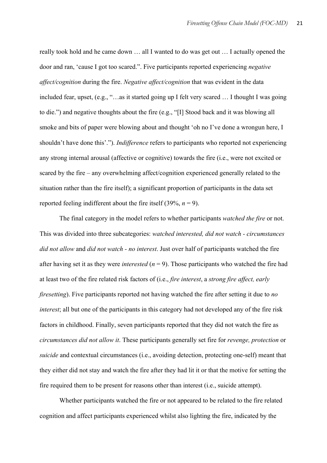really took hold and he came down … all I wanted to do was get out … I actually opened the door and ran, 'cause I got too scared.". Five participants reported experiencing *negative affect/cognition* during the fire. *Negative affect/cognition* that was evident in the data included fear, upset, (e.g., "…as it started going up I felt very scared … I thought I was going to die.") and negative thoughts about the fire (e.g., "[I] Stood back and it was blowing all smoke and bits of paper were blowing about and thought 'oh no I've done a wrongun here, I shouldn't have done this'."). *Indifference* refers to participants who reported not experiencing any strong internal arousal (affective or cognitive) towards the fire (i.e., were not excited or scared by the fire – any overwhelming affect/cognition experienced generally related to the situation rather than the fire itself); a significant proportion of participants in the data set reported feeling indifferent about the fire itself  $(39\%, n=9)$ .

The final category in the model refers to whether participants *watched the fire* or not. This was divided into three subcategories: *watched interested, did not watch - circumstances did not allow* and *did not watch - no interest*. Just over half of participants watched the fire after having set it as they were *interested* ( $n = 9$ ). Those participants who watched the fire had at least two of the fire related risk factors of (i.e., *fire interest*, a *strong fire affect, early firesetting*). Five participants reported not having watched the fire after setting it due to *no interest*; all but one of the participants in this category had not developed any of the fire risk factors in childhood. Finally, seven participants reported that they did not watch the fire as *circumstances did not allow it*. These participants generally set fire for *revenge, protection* or *suicide* and contextual circumstances (i.e., avoiding detection, protecting one-self) meant that they either did not stay and watch the fire after they had lit it or that the motive for setting the fire required them to be present for reasons other than interest (i.e., suicide attempt).

Whether participants watched the fire or not appeared to be related to the fire related cognition and affect participants experienced whilst also lighting the fire, indicated by the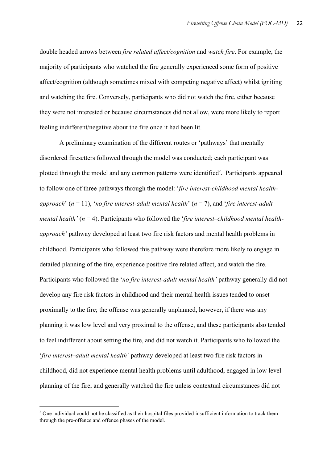double headed arrows between *fire related affect/cognition* and *watch fire*. For example, the majority of participants who watched the fire generally experienced some form of positive affect/cognition (although sometimes mixed with competing negative affect) whilst igniting and watching the fire. Conversely, participants who did not watch the fire, either because they were not interested or because circumstances did not allow, were more likely to report feeling indifferent/negative about the fire once it had been lit.

A preliminary examination of the different routes or 'pathways' that mentally disordered firesetters followed through the model was conducted; each participant was plotted through the model and any common patterns were identified<sup>2</sup>. Participants appeared to follow one of three pathways through the model: '*fire interest-childhood mental healthapproach*' (*n* = 11), '*no fire interest-adult mental health*' (*n* = 7), and '*fire interest-adult mental health'* (*n* = 4). Participants who followed the '*fire interest–childhood mental healthapproach'* pathway developed at least two fire risk factors and mental health problems in childhood. Participants who followed this pathway were therefore more likely to engage in detailed planning of the fire, experience positive fire related affect, and watch the fire. Participants who followed the '*no fire interest-adult mental health'* pathway generally did not develop any fire risk factors in childhood and their mental health issues tended to onset proximally to the fire; the offense was generally unplanned, however, if there was any planning it was low level and very proximal to the offense, and these participants also tended to feel indifferent about setting the fire, and did not watch it. Participants who followed the '*fire interest–adult mental health'* pathway developed at least two fire risk factors in childhood, did not experience mental health problems until adulthood, engaged in low level planning of the fire, and generally watched the fire unless contextual circumstances did not

<u> 1989 - Johann Barn, mars ann an t-Aonaich an t-Aonaich an t-Aonaich an t-Aonaich ann an t-Aonaich ann an t-Ao</u>

 $2$  One individual could not be classified as their hospital files provided insufficient information to track them through the pre-offence and offence phases of the model.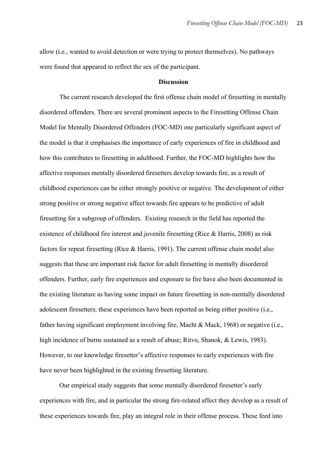allow (i.e., wanted to avoid detection or were trying to protect themselves). No pathways were found that appeared to reflect the sex of the participant.

#### **Discussion**

The current research developed the first offense chain model of firesetting in mentally disordered offenders. There are several prominent aspects to the Firesetting Offense Chain Model for Mentally Disordered Offenders (FOC-MD) one particularly significant aspect of the model is that it emphasises the importance of early experiences of fire in childhood and how this contributes to firesetting in adulthood. Further, the FOC-MD highlights how the affective responses mentally disordered firesetters develop towards fire, as a result of childhood experiences can be either strongly positive or negative. The development of either strong positive or strong negative affect towards fire appears to be predictive of adult firesetting for a subgroup of offenders. Existing research in the field has reported the existence of childhood fire interest and juvenile firesetting (Rice & Harris, 2008) as risk factors for repeat firesetting (Rice & Harris, 1991). The current offense chain model also suggests that these are important risk factor for adult firesetting in mentally disordered offenders. Further, early fire experiences and exposure to fire have also been documented in the existing literature as having some impact on future firesetting in non-mentally disordered adolescent firesetters; these experiences have been reported as being either positive (i.e., father having significant employment involving fire, Macht & Mack, 1968) or negative (i.e., high incidence of burns sustained as a result of abuse; Ritvo, Shanok, & Lewis, 1983). However, to our knowledge firesetter's affective responses to early experiences with fire have never been highlighted in the existing firesetting literature.

Our empirical study suggests that some mentally disordered firesetter's early experiences with fire, and in particular the strong fire-related affect they develop as a result of these experiences towards fire, play an integral role in their offense process. These feed into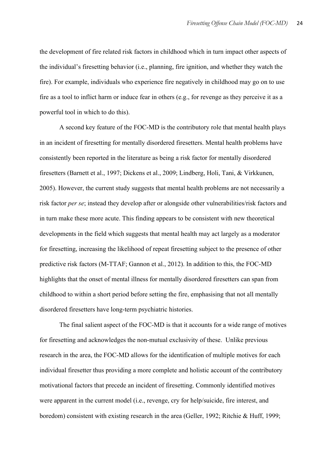the development of fire related risk factors in childhood which in turn impact other aspects of the individual's firesetting behavior (i.e., planning, fire ignition, and whether they watch the fire). For example, individuals who experience fire negatively in childhood may go on to use fire as a tool to inflict harm or induce fear in others (e.g., for revenge as they perceive it as a powerful tool in which to do this).

A second key feature of the FOC-MD is the contributory role that mental health plays in an incident of firesetting for mentally disordered firesetters. Mental health problems have consistently been reported in the literature as being a risk factor for mentally disordered firesetters (Barnett et al., 1997; Dickens et al., 2009; Lindberg, Holi, Tani, & Virkkunen, 2005). However, the current study suggests that mental health problems are not necessarily a risk factor *per se*; instead they develop after or alongside other vulnerabilities/risk factors and in turn make these more acute. This finding appears to be consistent with new theoretical developments in the field which suggests that mental health may act largely as a moderator for firesetting, increasing the likelihood of repeat firesetting subject to the presence of other predictive risk factors (M-TTAF; Gannon et al., 2012). In addition to this, the FOC-MD highlights that the onset of mental illness for mentally disordered firesetters can span from childhood to within a short period before setting the fire, emphasising that not all mentally disordered firesetters have long-term psychiatric histories.

The final salient aspect of the FOC-MD is that it accounts for a wide range of motives for firesetting and acknowledges the non-mutual exclusivity of these. Unlike previous research in the area, the FOC-MD allows for the identification of multiple motives for each individual firesetter thus providing a more complete and holistic account of the contributory motivational factors that precede an incident of firesetting. Commonly identified motives were apparent in the current model (i.e., revenge, cry for help/suicide, fire interest, and boredom) consistent with existing research in the area (Geller, 1992; Ritchie & Huff, 1999;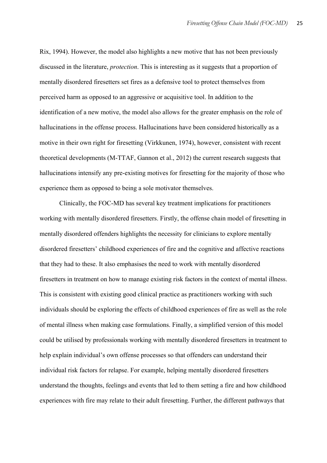Rix, 1994). However, the model also highlights a new motive that has not been previously discussed in the literature, *protection*. This is interesting as it suggests that a proportion of mentally disordered firesetters set fires as a defensive tool to protect themselves from perceived harm as opposed to an aggressive or acquisitive tool. In addition to the identification of a new motive, the model also allows for the greater emphasis on the role of hallucinations in the offense process. Hallucinations have been considered historically as a motive in their own right for firesetting (Virkkunen, 1974), however, consistent with recent theoretical developments (M-TTAF, Gannon et al., 2012) the current research suggests that hallucinations intensify any pre-existing motives for firesetting for the majority of those who experience them as opposed to being a sole motivator themselves.

Clinically, the FOC-MD has several key treatment implications for practitioners working with mentally disordered firesetters. Firstly, the offense chain model of firesetting in mentally disordered offenders highlights the necessity for clinicians to explore mentally disordered firesetters' childhood experiences of fire and the cognitive and affective reactions that they had to these. It also emphasises the need to work with mentally disordered firesetters in treatment on how to manage existing risk factors in the context of mental illness. This is consistent with existing good clinical practice as practitioners working with such individuals should be exploring the effects of childhood experiences of fire as well as the role of mental illness when making case formulations. Finally, a simplified version of this model could be utilised by professionals working with mentally disordered firesetters in treatment to help explain individual's own offense processes so that offenders can understand their individual risk factors for relapse. For example, helping mentally disordered firesetters understand the thoughts, feelings and events that led to them setting a fire and how childhood experiences with fire may relate to their adult firesetting. Further, the different pathways that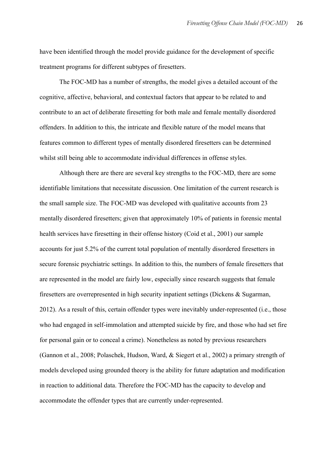have been identified through the model provide guidance for the development of specific treatment programs for different subtypes of firesetters.

The FOC-MD has a number of strengths, the model gives a detailed account of the cognitive, affective, behavioral, and contextual factors that appear to be related to and contribute to an act of deliberate firesetting for both male and female mentally disordered offenders. In addition to this, the intricate and flexible nature of the model means that features common to different types of mentally disordered firesetters can be determined whilst still being able to accommodate individual differences in offense styles.

Although there are there are several key strengths to the FOC-MD, there are some identifiable limitations that necessitate discussion. One limitation of the current research is the small sample size. The FOC-MD was developed with qualitative accounts from 23 mentally disordered firesetters; given that approximately 10% of patients in forensic mental health services have firesetting in their offense history (Coid et al., 2001) our sample accounts for just 5.2% of the current total population of mentally disordered firesetters in secure forensic psychiatric settings. In addition to this, the numbers of female firesetters that are represented in the model are fairly low, especially since research suggests that female firesetters are overrepresented in high security inpatient settings (Dickens & Sugarman, 2012). As a result of this, certain offender types were inevitably under-represented (i.e., those who had engaged in self-immolation and attempted suicide by fire, and those who had set fire for personal gain or to conceal a crime). Nonetheless as noted by previous researchers (Gannon et al., 2008; Polaschek, Hudson, Ward, & Siegert et al., 2002) a primary strength of models developed using grounded theory is the ability for future adaptation and modification in reaction to additional data. Therefore the FOC-MD has the capacity to develop and accommodate the offender types that are currently under-represented.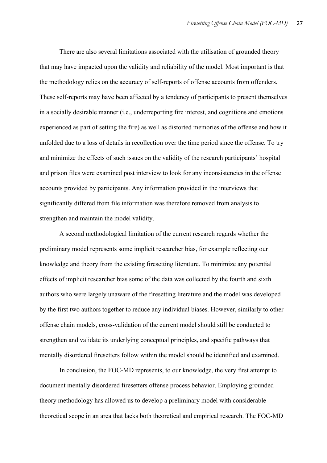There are also several limitations associated with the utilisation of grounded theory that may have impacted upon the validity and reliability of the model. Most important is that the methodology relies on the accuracy of self-reports of offense accounts from offenders. These self-reports may have been affected by a tendency of participants to present themselves in a socially desirable manner (i.e., underreporting fire interest, and cognitions and emotions experienced as part of setting the fire) as well as distorted memories of the offense and how it unfolded due to a loss of details in recollection over the time period since the offense. To try and minimize the effects of such issues on the validity of the research participants' hospital and prison files were examined post interview to look for any inconsistencies in the offense accounts provided by participants. Any information provided in the interviews that significantly differed from file information was therefore removed from analysis to strengthen and maintain the model validity.

A second methodological limitation of the current research regards whether the preliminary model represents some implicit researcher bias, for example reflecting our knowledge and theory from the existing firesetting literature. To minimize any potential effects of implicit researcher bias some of the data was collected by the fourth and sixth authors who were largely unaware of the firesetting literature and the model was developed by the first two authors together to reduce any individual biases. However, similarly to other offense chain models, cross-validation of the current model should still be conducted to strengthen and validate its underlying conceptual principles, and specific pathways that mentally disordered firesetters follow within the model should be identified and examined.

In conclusion, the FOC-MD represents, to our knowledge, the very first attempt to document mentally disordered firesetters offense process behavior. Employing grounded theory methodology has allowed us to develop a preliminary model with considerable theoretical scope in an area that lacks both theoretical and empirical research. The FOC-MD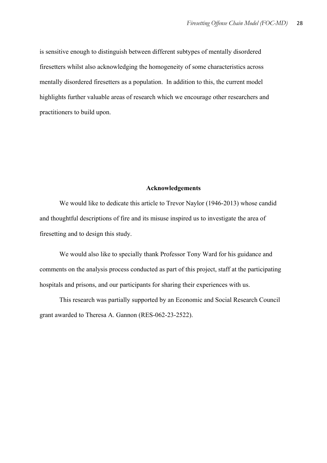is sensitive enough to distinguish between different subtypes of mentally disordered firesetters whilst also acknowledging the homogeneity of some characteristics across mentally disordered firesetters as a population. In addition to this, the current model highlights further valuable areas of research which we encourage other researchers and practitioners to build upon.

#### **Acknowledgements**

We would like to dedicate this article to Trevor Naylor (1946-2013) whose candid and thoughtful descriptions of fire and its misuse inspired us to investigate the area of firesetting and to design this study.

We would also like to specially thank Professor Tony Ward for his guidance and comments on the analysis process conducted as part of this project, staff at the participating hospitals and prisons, and our participants for sharing their experiences with us.

This research was partially supported by an Economic and Social Research Council grant awarded to Theresa A. Gannon (RES-062-23-2522).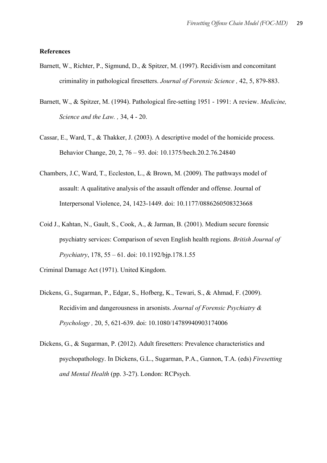#### **References**

- Barnett, W., Richter, P., Sigmund, D., & Spitzer, M. (1997). Recidivism and concomitant criminality in pathological firesetters. *Journal of Forensic Science ,* 42, 5, 879-883.
- Barnett, W., & Spitzer, M. (1994). Pathological fire-setting 1951 1991: A review. *Medicine, Science and the Law. ,* 34, 4 - 20.
- Cassar, E., Ward, T., & Thakker, J. (2003). A descriptive model of the homicide process. Behavior Change, 20, 2, 76 – 93. doi: 10.1375/bech.20.2.76.24840
- Chambers, J.C, Ward, T., Eccleston, L., & Brown, M. (2009). The pathways model of assault: A qualitative analysis of the assault offender and offense. Journal of Interpersonal Violence, 24, 1423-1449. doi: 10.1177/0886260508323668
- Coid J., Kahtan, N., Gault, S., Cook, A., & Jarman, B. (2001). Medium secure forensic psychiatry services: Comparison of seven English health regions. *British Journal of Psychiatry*, 178, 55 – 61. doi: 10.1192/bjp.178.1.55

Criminal Damage Act (1971). United Kingdom.

- Dickens, G., Sugarman, P., Edgar, S., Hofberg, K., Tewari, S., & Ahmad, F. (2009). Recidivim and dangerousness in arsonists. *Journal of Forensic Psychiatry & Psychology ,* 20, 5, 621-639. doi: 10.1080/14789940903174006
- Dickens, G., & Sugarman, P. (2012). Adult firesetters: Prevalence characteristics and psychopathology. In Dickens, G.L., Sugarman, P.A., Gannon, T.A. (eds) *Firesetting and Mental Health* (pp. 3-27). London: RCPsych.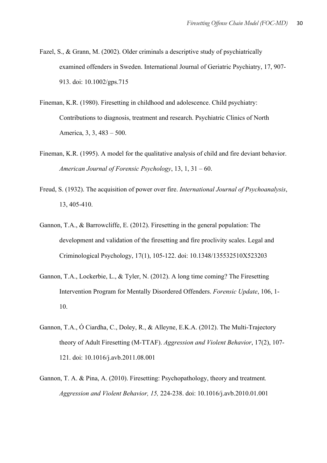- Fazel, S., & Grann, M. (2002). Older criminals a descriptive study of psychiatrically examined offenders in Sweden. International Journal of Geriatric Psychiatry, 17, 907- 913. doi: 10.1002/gps.715
- Fineman, K.R. (1980). Firesetting in childhood and adolescence. Child psychiatry: Contributions to diagnosis, treatment and research. Psychiatric Clinics of North America, 3, 3, 483 – 500.
- Fineman, K.R. (1995). A model for the qualitative analysis of child and fire deviant behavior. *American Journal of Forensic Psychology*, 13, 1, 31 – 60.
- Freud, S. (1932). The acquisition of power over fire. *International Journal of Psychoanalysis*, 13, 405-410.
- Gannon, T.A., & Barrowcliffe, E. (2012). Firesetting in the general population: The development and validation of the firesetting and fire proclivity scales. Legal and Criminological Psychology, 17(1), 105-122. doi: 10.1348/135532510X523203
- Gannon, T.A., Lockerbie, L., & Tyler, N. (2012). A long time coming? The Firesetting Intervention Program for Mentally Disordered Offenders. *Forensic Update*, 106, 1- 10.
- Gannon, T.A., Ó Ciardha, C., Doley, R., & Alleyne, E.K.A. (2012). The Multi-Trajectory theory of Adult Firesetting (M-TTAF). *Aggression and Violent Behavior*, 17(2), 107- 121. doi: 10.1016/j.avb.2011.08.001
- Gannon, T. A. & Pina, A. (2010). Firesetting: Psychopathology, theory and treatment*. Aggression and Violent Behavior, 15,* 224-238. doi: 10.1016/j.avb.2010.01.001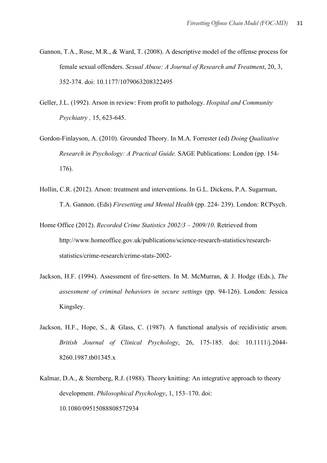- Gannon, T.A., Rose, M.R., & Ward, T. (2008). A descriptive model of the offense process for female sexual offenders. *Sexual Abuse: A Journal of Research and Treatment*, 20, 3, 352-374. doi: 10.1177/1079063208322495
- Geller, J.L. (1992). Arson in review: From profit to pathology. *Hospital and Community Psychiatry ,* 15, 623-645.
- Gordon-Finlayson, A. (2010). Grounded Theory. In M.A. Forrester (ed) *Doing Qualitative Research in Psychology: A Practical Guide.* SAGE Publications: London (pp. 154- 176).
- Hollin, C.R. (2012). Arson: treatment and interventions. In G.L. Dickens, P.A. Sugarman, T.A. Gannon. (Eds) *Firesetting and Mental Health* (pp. 224- 239). London: RCPsych.
- Home Office (2012). *Recorded Crime Statistics 2002/3 – 2009/10*. Retrieved from http://www.homeoffice.gov.uk/publications/science-research-statistics/researchstatistics/crime-research/crime-stats-2002-
- Jackson, H.F. (1994). Assessment of fire-setters. In M. McMurran, & J. Hodge (Eds.), *The assessment of criminal behaviors in secure settings* (pp. 94-126). London: Jessica Kingsley.
- Jackson, H.F., Hope, S., & Glass, C. (1987). A functional analysis of recidivistic arson. *British Journal of Clinical Psychology*, 26, 175-185. doi: 10.1111/j.2044- 8260.1987.tb01345.x
- Kalmar, D.A., & Sternberg, R.J. (1988). Theory knitting: An integrative approach to theory development. *Philosophical Psychology*, 1, 153–170. doi: 10.1080/09515088808572934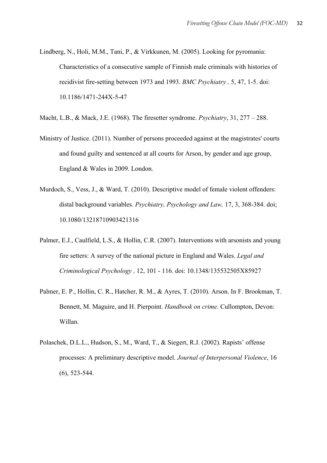- Lindberg, N., Holi, M.M., Tani, P., & Virkkunen, M. (2005). Looking for pyromania: Characteristics of a consecutive sample of Finnish male criminals with histories of recidivist fire-setting between 1973 and 1993. *BMC Psychiatry ,* 5, 47, 1-5. doi: 10.1186/1471-244X-5-47
- Macht, L.B., & Mack, J.E. (1968). The firesetter syndrome. *Psychiatry*, 31, 277 288.
- Ministry of Justice. (2011). Number of persons proceeded against at the magistrates' courts and found guilty and sentenced at all courts for Arson, by gender and age group, England & Wales in 2009. London.
- Murdoch, S., Vess, J., & Ward, T. (2010). Descriptive model of female violent offenders: distal background variables. *Psychiatry, Psychology and Law,* 17, 3, 368-384. doi; 10.1080/13218710903421316
- Palmer, E.J., Caulfield, L.S., & Hollin, C.R. (2007). Interventions with arsonists and young fire setters: A survey of the national picture in England and Wales. *Legal and Criminological Psychology ,* 12, 101 - 116. doi: 10.1348/135532505X85927
- Palmer, E. P., Hollin, C. R., Hatcher, R. M., & Ayres, T. (2010). Arson. In F. Brookman, T. Bennett, M. Maguire, and H. Pierpoint. *Handbook on crime*. Cullompton, Devon: Willan.
- Polaschek, D.L.L., Hudson, S., M., Ward, T., & Siegert, R.J. (2002). Rapists' offense processes: A preliminary descriptive model. *Journal of Interpersonal Violence*, 16 (6), 523-544.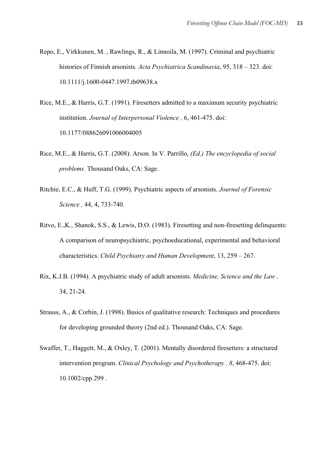- Repo, E., Virkkunen, M. , Rawlings, R., & Linnoila, M. (1997). Criminal and psychiatric histories of Finnish arsonists. *Acta Psychiatrica Scandinavia*, 95, 318 – 323. doi: 10.1111/j.1600-0447.1997.tb09638.x
- Rice, M.E., & Harris, G.T. (1991). Firesetters admitted to a maximum security psychiatric institution. *Journal of Interpersonal Violence*, 6, 461-475. doi: 10.1177/088626091006004005
- Rice, M.E., & Harris, G.T. (2008). Arson. In V. Parrillo, *(Ed.) The encyclopedia of social problems.* Thousand Oaks, CA: Sage.
- Ritchie, E.C., & Huff, T.G. (1999). Psychiatric aspects of arsonists. *Journal of Forensic Science ,* 44, 4, 733-740.
- Ritvo, E.,K., Shanok, S.S., & Lewis, D.O. (1983). Firesetting and non-firesetting delinquents: A comparison of neuropsychiatric, psychoeducational, experimental and behavioral characteristics. *Child Psychiatry and Human Development*, 13, 259 – 267.
- Rix, K.J.B. (1994). A psychiatric study of adult arsonists. *Medicine, Science and the Law ,*  34, 21-24.
- Strauss, A., & Corbin, J. (1998). Basics of qualitative research: Techniques and procedures for developing grounded theory (2nd ed.). Thousand Oaks, CA: Sage.
- Swaffer, T., Haggett, M., & Oxley, T. (2001). Mentally disordered firesetters: a structured intervention program. *Clinical Psychology and Psychotherapy , 8*, 468-475. doi: 10.1002/cpp.299 .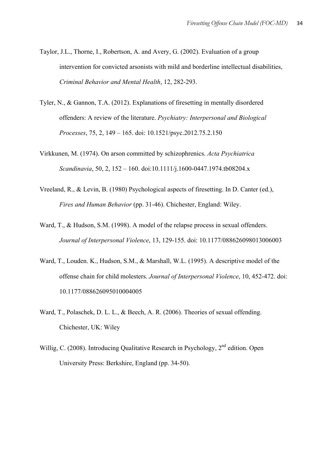- Taylor, J.L., Thorne, I., Robertson, A. and Avery, G. (2002). Evaluation of a group intervention for convicted arsonists with mild and borderline intellectual disabilities, *Criminal Behavior and Mental Health*, 12, 282-293.
- Tyler, N., & Gannon, T.A. (2012). Explanations of firesetting in mentally disordered offenders: A review of the literature. *Psychiatry: Interpersonal and Biological Processes*, 75, 2, 149 – 165. doi: 10.1521/psyc.2012.75.2.150
- Virkkunen, M. (1974). On arson committed by schizophrenics. *Acta Psychiatrica Scandinavia*, 50, 2, 152 – 160. doi:10.1111/j.1600-0447.1974.tb08204.x
- Vreeland, R., & Levin, B. (1980) Psychological aspects of firesetting. In D. Canter (ed.), *Fires and Human Behavior* (pp. 31-46). Chichester, England: Wiley.
- Ward, T., & Hudson, S.M. (1998). A model of the relapse process in sexual offenders. *Journal of Interpersonal Violence*, 13, 129-155. doi: 10.1177/088626098013006003
- Ward, T., Louden. K., Hudson, S.M., & Marshall, W.L. (1995). A descriptive model of the offense chain for child molesters. *Journal of Interpersonal Violence*, 10, 452-472. doi: 10.1177/088626095010004005
- Ward, T., Polaschek, D. L. L., & Beech, A. R. (2006). Theories of sexual offending. Chichester, UK: Wiley
- Willig, C. (2008). Introducing Qualitative Research in Psychology, 2<sup>nd</sup> edition. Open University Press: Berkshire, England (pp. 34-50).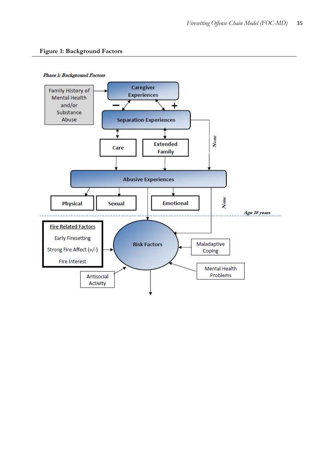#### **Figure 1: Background Factors**

#### Phase 1: Background Factors

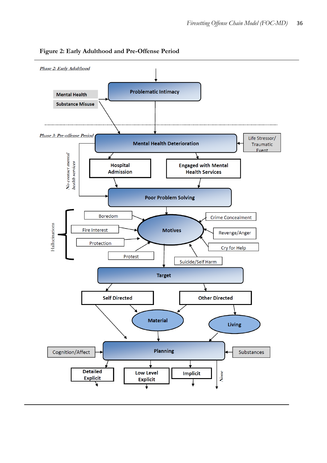

**Figure 2: Early Adulthood and Pre-Offense Period**